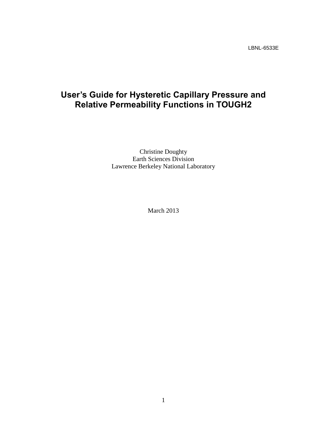LBNL-6533E

# **User's Guide for Hysteretic Capillary Pressure and Relative Permeability Functions in TOUGH2**

Christine Doughty Earth Sciences Division Lawrence Berkeley National Laboratory

March 2013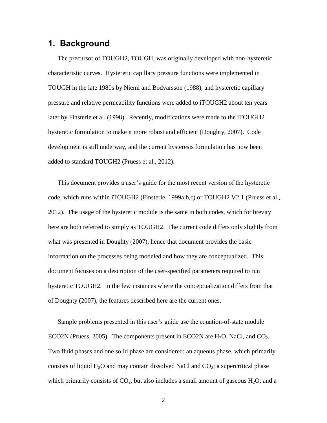# **1. Background**

The precursor of TOUGH2, TOUGH, was originally developed with non-hysteretic characteristic curves. Hysteretic capillary pressure functions were implemented in TOUGH in the late 1980s by Niemi and Bodvarsson (1988), and hysteretic capillary pressure and relative permeability functions were added to iTOUGH2 about ten years later by Finsterle et al. (1998). Recently, modifications were made to the iTOUGH2 hysteretic formulation to make it more robust and efficient (Doughty, 2007). Code development is still underway, and the current hysteresis formulation has now been added to standard TOUGH2 (Pruess et al., 2012).

This document provides a user's guide for the most recent version of the hysteretic code, which runs within iTOUGH2 (Finsterle, 1999a,b,c) or TOUGH2 V2.1 (Pruess et al., 2012). The usage of the hysteretic module is the same in both codes, which for brevity here are both referred to simply as TOUGH2. The current code differs only slightly from what was presented in Doughty (2007), hence that document provides the basic information on the processes being modeled and how they are conceptualized. This document focuses on a description of the user-specified parameters required to run hysteretic TOUGH2. In the few instances where the conceptualization differs from that of Doughty (2007), the features described here are the current ones.

Sample problems presented in this user's guide use the equation-of-state module ECO2N (Pruess, 2005). The components present in ECO2N are  $H_2O$ , NaCl, and CO<sub>2</sub>. Two fluid phases and one solid phase are considered: an aqueous phase, which primarily consists of liquid  $H_2O$  and may contain dissolved NaCl and  $CO_2$ ; a supercritical phase which primarily consists of  $CO<sub>2</sub>$ , but also includes a small amount of gaseous  $H<sub>2</sub>O$ ; and a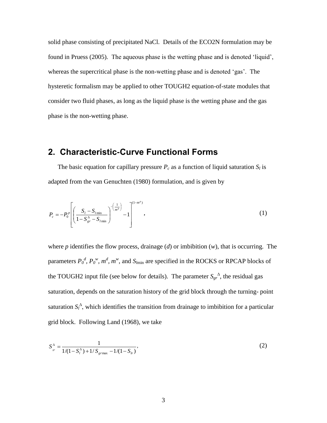solid phase consisting of precipitated NaCl. Details of the ECO2N formulation may be found in Pruess (2005). The aqueous phase is the wetting phase and is denoted 'liquid', whereas the supercritical phase is the non-wetting phase and is denoted 'gas'. The hysteretic formalism may be applied to other TOUGH2 equation-of-state modules that consider two fluid phases, as long as the liquid phase is the wetting phase and the gas phase is the non-wetting phase.

# **2. Characteristic-Curve Functional Forms**

The basic equation for capillary pressure  $P_c$  as a function of liquid saturation  $S_l$  is adapted from the van Genuchten (1980) formulation, and is given by

$$
P_c = -P_0^p \left[ \left( \frac{S_l - S_{l_{\min}}}{1 - S_{gr}^{\Delta} - S_{l_{\min}}} \right)^{-\left( \frac{1}{m^p} \right)} - 1 \right]^{(1 - m^p)}, \tag{1}
$$

where *p* identifies the flow process, drainage (*d*) or imbibition (*w*), that is occurring. The parameters  $P_0^d$ ,  $P_0^w$ ,  $m^d$ ,  $m^w$ , and  $S_{lmin}$  are specified in the ROCKS or RPCAP blocks of the TOUGH2 input file (see below for details). The parameter  $S_{gr}^A$ , the residual gas saturation, depends on the saturation history of the grid block through the turning- point saturation  $S_l^{\Delta}$ , which identifies the transition from drainage to imbibition for a particular grid block. Following Land (1968), we take

$$
S_{sr}^{\Delta} = \frac{1}{1/(1 - S_l^{\Delta}) + 1/S_{grmax} - 1/(1 - S_{lr})},
$$
\n(2)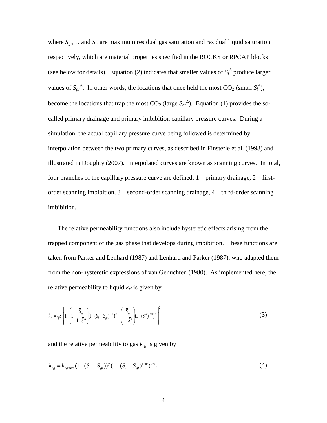where *Sgr*max and *Slr* are maximum residual gas saturation and residual liquid saturation, respectively, which are material properties specified in the ROCKS or RPCAP blocks (see below for details). Equation (2) indicates that smaller values of  $S_l^{\Delta}$  produce larger values of  $S_{gr}^{\Delta}$ . In other words, the locations that once held the most CO<sub>2</sub> (small  $S_l^{\Delta}$ ), become the locations that trap the most  $CO_2$  (large  $S_{gr}^{\Delta}$ ). Equation (1) provides the socalled primary drainage and primary imbibition capillary pressure curves. During a simulation, the actual capillary pressure curve being followed is determined by interpolation between the two primary curves, as described in Finsterle et al. (1998) and illustrated in Doughty (2007). Interpolated curves are known as scanning curves. In total, four branches of the capillary pressure curve are defined: 1 – primary drainage, 2 – firstorder scanning imbibition, 3 – second-order scanning drainage, 4 – third-order scanning imbibition.

The relative permeability functions also include hysteretic effects arising from the trapped component of the gas phase that develops during imbibition. These functions are taken from Parker and Lenhard (1987) and Lenhard and Parker (1987), who adapted them from the non-hysteretic expressions of van Genuchten (1980). As implemented here, the relative permeability to liquid *krl* is given by

$$
k_{rl} = \sqrt{\overline{S}_{l}} \left[ 1 - \left( 1 - \frac{\overline{S}_{gt}}{1 - \overline{S}_{l}^{\Delta}} \right) (1 - (\overline{S}_{l} + \overline{S}_{gt})^{1/m})^{m} - \left( \frac{\overline{S}_{gt}}{1 - \overline{S}_{l}^{\Delta}} \right) (1 - (\overline{S}_{l}^{\Delta})^{1/m})^{m} \right]^{2}
$$
(3)

and the relative permeability to gas  $k_{rg}$  is given by

$$
k_{rg} = k_{rg\max} \left( 1 - (\overline{S}_l + \overline{S}_{gt}) \right)^{\gamma} \left( 1 - (\overline{S}_l + \overline{S}_{gt})^{1/m} \right)^{2m},\tag{4}
$$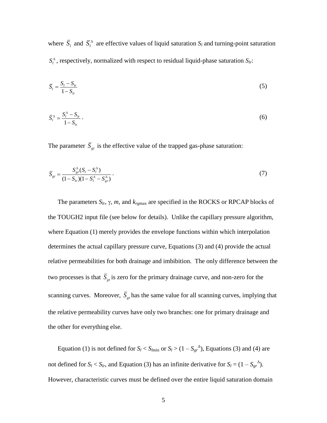where  $\overline{S}_l$  and  $\overline{S}_l^{\Delta}$  are effective values of liquid saturation  $S_l$  and turning-point saturation  $S_l^{\Delta}$ , respectively, normalized with respect to residual liquid-phase saturation  $S_{l_r}$ :

$$
\overline{S}_l = \frac{S_l - S_{lr}}{1 - S_{lr}}\tag{5}
$$

$$
\overline{S}_l^{\Delta} = \frac{S_l^{\Delta} - S_{lr}}{1 - S_{lr}} \,. \tag{6}
$$

The parameter  $\overline{S}_{gt}$  is the effective value of the trapped gas-phase saturation:

$$
\overline{S}_{gt} = \frac{S_{gr}^{\Delta}(S_t - S_t^{\Delta})}{(1 - S_{tr})(1 - S_t^{\Delta} - S_{gr}^{\Delta})}.
$$
\n(7)

The parameters  $S_{lr}$ ,  $\gamma$ ,  $m$ , and  $k_{rgmax}$  are specified in the ROCKS or RPCAP blocks of the TOUGH2 input file (see below for details). Unlike the capillary pressure algorithm, where Equation (1) merely provides the envelope functions within which interpolation determines the actual capillary pressure curve, Equations (3) and (4) provide the actual relative permeabilities for both drainage and imbibition. The only difference between the two processes is that  $S_{gt}$  is zero for the primary drainage curve, and non-zero for the scanning curves. Moreover,  $\overline{S}_{gt}$  has the same value for all scanning curves, implying that the relative permeability curves have only two branches: one for primary drainage and the other for everything else.

Equation (1) is not defined for  $S_l < S_{lmin}$  or  $S_l > (1 - S_{gr}^{\Lambda})$ , Equations (3) and (4) are not defined for  $S_l < S_{lr}$ , and Equation (3) has an infinite derivative for  $S_l = (1 - S_{gr}^{\Delta})$ . However, characteristic curves must be defined over the entire liquid saturation domain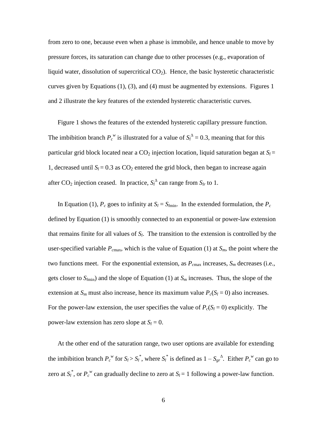from zero to one, because even when a phase is immobile, and hence unable to move by pressure forces, its saturation can change due to other processes (e.g., evaporation of liquid water, dissolution of supercritical  $CO<sub>2</sub>$ ). Hence, the basic hysteretic characteristic curves given by Equations (1), (3), and (4) must be augmented by extensions. Figures 1 and 2 illustrate the key features of the extended hysteretic characteristic curves.

Figure 1 shows the features of the extended hysteretic capillary pressure function. The imbibition branch  $P_c^w$  is illustrated for a value of  $S_l^{\Delta} = 0.3$ , meaning that for this particular grid block located near a  $CO_2$  injection location, liquid saturation began at  $S_l$  = 1, decreased until  $S_l = 0.3$  as  $CO_2$  entered the grid block, then began to increase again after CO<sub>2</sub> injection ceased. In practice,  $S_l^{\Delta}$  can range from  $S_l$ <sub>r</sub> to 1.

In Equation (1),  $P_c$  goes to infinity at  $S_l = S_{lmin}$ . In the extended formulation, the  $P_c$ defined by Equation (1) is smoothly connected to an exponential or power-law extension that remains finite for all values of *S<sup>l</sup>* . The transition to the extension is controlled by the user-specified variable  $P_{\text{cmax}}$ , which is the value of Equation (1) at  $S_m$ , the point where the two functions meet. For the exponential extension, as  $P_{cmax}$  increases,  $S_m$  decreases (i.e., gets closer to  $S_{lmin}$ ) and the slope of Equation (1) at  $S_m$  increases. Thus, the slope of the extension at  $S_m$  must also increase, hence its maximum value  $P_c(S_l = 0)$  also increases. For the power-law extension, the user specifies the value of  $P_c(S_l = 0)$  explicitly. The power-law extension has zero slope at  $S_l = 0$ .

At the other end of the saturation range, two user options are available for extending the imbibition branch  $P_c^{\ w}$  for  $S_l > S_l^*$ , where  $S_l^*$  is defined as  $1 - S_{gr}^{\ A}$ . Either  $P_c^{\ w}$  can go to zero at  $S_l^*$ , or  $P_c^{\ w}$  can gradually decline to zero at  $S_l = 1$  following a power-law function.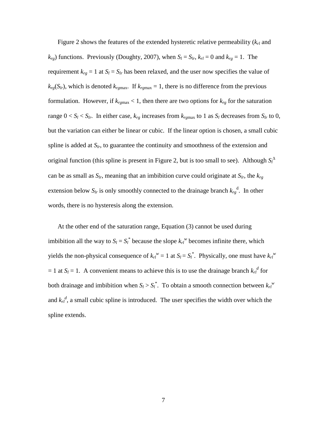Figure 2 shows the features of the extended hysteretic relative permeability (*krl* and  $k_{rg}$ ) functions. Previously (Doughty, 2007), when  $S_l = S_{lr}$ ,  $k_{rl} = 0$  and  $k_{rg} = 1$ . The requirement  $k_{rg} = 1$  at  $S_l = S_{lr}$  has been relaxed, and the user now specifies the value of  $k_{rg}(S_{lr})$ , which is denoted  $k_{rgmax}$ . If  $k_{rgmax} = 1$ , there is no difference from the previous formulation. However, if  $k_{\text{rgmax}} < 1$ , then there are two options for  $k_{\text{rg}}$  for the saturation range  $0 < S_l < S_{lr}$ . In either case,  $k_{rg}$  increases from  $k_{rgmax}$  to 1 as  $S_l$  decreases from  $S_{lr}$  to 0, but the variation can either be linear or cubic. If the linear option is chosen, a small cubic spline is added at *Slr*, to guarantee the continuity and smoothness of the extension and original function (this spline is present in Figure 2, but is too small to see). Although *S<sup>l</sup>* can be as small as  $S_l$ , meaning that an imbibition curve could originate at  $S_l$ , the  $k_{rg}$ extension below  $S_{lr}$  is only smoothly connected to the drainage branch  $k_{rg}$ <sup>d</sup>. In other words, there is no hysteresis along the extension.

At the other end of the saturation range, Equation (3) cannot be used during imbibition all the way to  $S_l = S_l^*$  because the slope  $k_l^w$  becomes infinite there, which yields the non-physical consequence of  $k_r v = 1$  at  $S_l = S_l^*$ . Physically, one must have  $k_r v$  $= 1$  at  $S_l = 1$ . A convenient means to achieve this is to use the drainage branch  $k_l^d$  for both drainage and imbibition when  $S_l > S_l^*$ . To obtain a smooth connection between  $k_l^w$ and  $k_{rl}$ <sup>d</sup>, a small cubic spline is introduced. The user specifies the width over which the spline extends.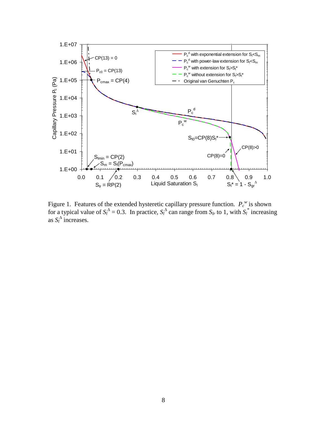

Figure 1. Features of the extended hysteretic capillary pressure function.  $P_c^{\ w}$  is shown for a typical value of  $S_l^{\Delta} = 0.3$ . In practice,  $S_l^{\Delta}$  can range from  $S_l$  to 1, with  $S_l^*$  increasing as  $S_l^{\Delta}$  increases.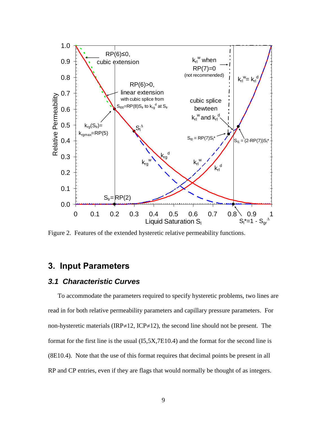

Figure 2. Features of the extended hysteretic relative permeability functions.

# **3. Input Parameters**

#### *3.1 Characteristic Curves*

To accommodate the parameters required to specify hysteretic problems, two lines are read in for both relative permeability parameters and capillary pressure parameters. For non-hysteretic materials (IRP $\neq$ 12, ICP $\neq$ 12), the second line should not be present. The format for the first line is the usual (I5,5X,7E10.4) and the format for the second line is (8E10.4). Note that the use of this format requires that decimal points be present in all RP and CP entries, even if they are flags that would normally be thought of as integers.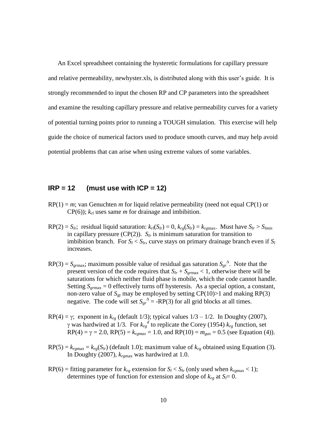An Excel spreadsheet containing the hysteretic formulations for capillary pressure and relative permeability, newhyster.xls, is distributed along with this user's guide. It is strongly recommended to input the chosen RP and CP parameters into the spreadsheet and examine the resulting capillary pressure and relative permeability curves for a variety of potential turning points prior to running a TOUGH simulation. This exercise will help guide the choice of numerical factors used to produce smooth curves, and may help avoid potential problems that can arise when using extreme values of some variables.

#### **IRP = 12 (must use with ICP = 12)**

- RP(1) = *m*; van Genuchten *m* for liquid relative permeability (need not equal CP(1) or  $CP(6)$ ;  $k<sub>rl</sub>$  uses same *m* for drainage and imbibition.
- $RP(2) = S_{lr}$ ; residual liquid saturation:  $k_{rl}(S_{lr}) = 0$ ,  $k_{rg}(S_{lr}) = k_{rgmax}$ . Must have  $S_{lr} > S_{lmin}$ in capillary pressure (CP(2)).  $S_l$  is minimum saturation for transition to imbibition branch. For  $S_l < S_{lr}$ , curve stays on primary drainage branch even if  $S_l$ increases.
- $RP(3) = S_{\text{grmax}}$ ; maximum possible value of residual gas saturation  $S_{\text{gr}}^{\Delta}$ . Note that the present version of the code requires that  $S_{lr} + S_{grmax} < 1$ , otherwise there will be saturations for which neither fluid phase is mobile, which the code cannot handle. Setting  $S_{\text{grmax}} = 0$  effectively turns off hysteresis. As a special option, a constant, non-zero value of  $S_{gr}$  may be employed by setting CP(10)>1 and making RP(3) negative. The code will set  $S_{gr}^A = -RP(3)$  for all grid blocks at all times.
- RP(4) =  $\gamma$ ; exponent in  $k_{rg}$  (default 1/3); typical values  $1/3 1/2$ . In Doughty (2007),  $\gamma$  was hardwired at 1/3. For  $k_{rg}^d$  to replicate the Corey (1954)  $k_{rg}$  function, set  $RP(4) = \gamma = 2.0$ ,  $RP(5) = k_{rgmax} = 1.0$ , and  $RP(10) = m_{gas} = 0.5$  (see Equation (4)).
- $RP(5) = k_{rgmax} = k_{rg}(S_{lr})$  (default 1.0); maximum value of  $k_{rg}$  obtained using Equation (3). In Doughty (2007), *krg*max was hardwired at 1.0.
- RP(6) = fitting parameter for  $k_{rg}$  extension for  $S_l < S_{lr}$  (only used when  $k_{rgmax} < 1$ ); determines type of function for extension and slope of  $k_{rg}$  at  $S_l = 0$ .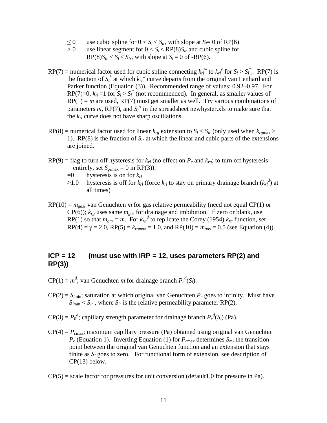- ≤ 0 use cubic spline for  $0 < S_l < S_l$ , with slope at  $S_l = 0$  of RP(6)
- $> 0$  use linear segment for  $0 < S_l < RP(8)S_l$  and cubic spline for  $RP(8)S_{lr} < S_l < S_{lr}$ , with slope at  $S_l = 0$  of -RP(6).
- RP(7) = numerical factor used for cubic spline connecting  $k_r v^w$  to  $k_r e^e$  for  $S_l > S_l^*$ . RP(7) is the fraction of  $S_l^*$  at which  $k_l^w$  curve departs from the original van Lenhard and Parker function (Equation (3)). Recommended range of values: 0.92–0.97. For RP(7)=0,  $k_{rl}$  =1 for  $S_l > S_l^*$  (not recommended). In general, as smaller values of  $RP(1) = m$  are used,  $RP(7)$  must get smaller as well. Try various combinations of parameters  $m$ , RP(7), and  $S_l^{\Delta}$  in the spreadsheet newhyster.xls to make sure that the *krl* curve does not have sharp oscillations.
- $RP(8)$  = numerical factor used for linear  $k_{rg}$  extension to  $S_l < S_{lr}$  (only used when  $k_{rgmax} >$ 1). RP(8) is the fraction of  $S_l$  at which the linear and cubic parts of the extensions are joined.
- $RP(9)$  = flag to turn off hysteresis for  $k<sub>rl</sub>$  (no effect on  $P<sub>c</sub>$  and  $k<sub>rg</sub>$ ; to turn off hysteresis entirely, set  $S_{\text{grmax}} = 0$  in RP(3)).
	- =0 hysteresis is on for *krl*
	- ≥1.0 hysteresis is off for  $k_{rl}$  (force  $k_{rl}$  to stay on primary drainage branch  $(k_{rl}^d)$  at all times)
- $RP(10) = m_{gas}$ ; van Genuchten *m* for gas relative permeability (need not equal CP(1) or  $CP(6)$ ;  $k_{rg}$  uses same  $m_{gas}$  for drainage and imbibition. If zero or blank, use RP(1) so that  $m_{gas} = m$ . For  $k_{rg}^d$  to replicate the Corey (1954)  $k_{rg}$  function, set  $RP(4) = \gamma = 2.0$ ,  $RP(5) = k_{\text{rgmax}} = 1.0$ , and  $RP(10) = m_{\text{gas}} = 0.5$  (see Equation (4)).

### **ICP = 12 (must use with IRP = 12, uses parameters RP(2) and RP(3))**

- $\text{CP}(1) = m^d$ ; van Genuchten *m* for drainage branch  $P_c^d(S_l)$ .
- $CP(2) = S<sub>lmin</sub>$ ; saturation at which original van Genuchten  $P<sub>c</sub>$  goes to infinity. Must have  $S_{lmin} < S_{lr}$ , where  $S_{lr}$  is the relative permeability parameter RP(2).
- $CP(3) = P_0^d$ ; capillary strength parameter for drainage branch  $P_c^d(S_l)$  (Pa).
- $CP(4) = P_{cmax}$ ; maximum capillary pressure (Pa) obtained using original van Genuchten  $P_c$  (Equation 1). Inverting Equation (1) for  $P_{cmax}$  determines  $S_m$ , the transition point between the original van Genuchten function and an extension that stays finite as  $S_l$  goes to zero. For functional form of extension, see description of CP(13) below.
- $CP(5)$  = scale factor for pressures for unit conversion (default1.0 for pressure in Pa).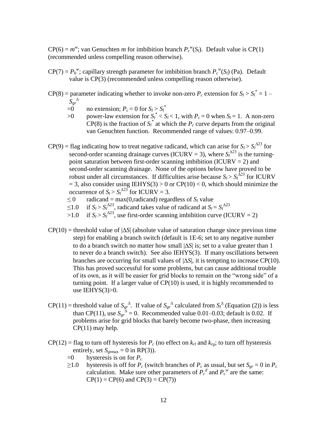$CP(6) = m^w$ ; van Genuchten *m* for imbibition branch  $P_c^w(S_l)$ . Default value is CP(1) (recommended unless compelling reason otherwise).

- $CP(7) = P_0^w$ ; capillary strength parameter for imbibition branch  $P_c^w(S_l)$  (Pa). Default value is CP(3) (recommended unless compelling reason otherwise).
- $CP(8)$  = parameter indicating whether to invoke non-zero  $P_c$  extension for  $S_l > S_l^* = 1 S_{gr}^{\phantom{gr}\Delta}$ 
	- $=0$  no extension;  $P_c = 0$  for  $S_l > S_l^*$
	- $>0$  power-law extension for  $S_l^* < S_l < 1$ , with  $P_c = 0$  when  $S_l = 1$ . A non-zero  $CP(8)$  is the fraction of  $S_l^*$  at which the  $P_c$  curve departs from the original van Genuchten function. Recommended range of values: 0.97–0.99.
- $CP(9)$  = flag indicating how to treat negative radicand, which can arise for  $S_l > S_l^{\Delta 23}$  for second-order scanning drainage curves (ICURV = 3), where  $S_l^{\Delta 23}$  is the turningpoint saturation between first-order scanning imbibition (ICURV =  $2$ ) and second-order scanning drainage. None of the options below have proved to be robust under all circumstances. If difficulties arise because  $S_l > S_l^{\overline{\Delta}23}$  for ICURV  $= 3$ , also consider using IEHYS(3) > 0 or CP(10) < 0, which should minimize the occurrence of  $S_l > S_l^{\Delta 23}$  for ICURV = 3.
	- $\leq 0$  radicand = max(0, radicand) regardless of  $S_l$  value
	- ≤1.0 if *S*<sup>*l*</sup> > *S*<sup> $^{\Delta$ 23</sup></sub>, radicand takes value of radicand at *S*<sup>*l*</sup> = *S*<sup> $^{\Delta$ 23</sup>
	- $>1.0$  if  $S_l > S_l^{\Delta 23}$ , use first-order scanning imbibition curve (ICURV = 2)
- $CP(10)$  = threshold value of  $|\Delta S|$  (absolute value of saturation change since previous time step) for enabling a branch switch (default is 1E-6; set to any negative number to do a branch switch no matter how small  $|\Delta S|$  is; set to a value greater than 1 to never do a branch switch). See also IEHYS(3). If many oscillations between branches are occurring for small values of  $|\Delta S|$ , it is tempting to increase CP(10). This has proved successful for some problems, but can cause additional trouble of its own, as it will be easier for grid blocks to remain on the "wrong side" of a turning point. If a larger value of CP(10) is used, it is highly recommended to use IEHYS(3)>0.
- $CP(11)$  = threshold value of  $S_{gr}^A$ . If value of  $S_{gr}^A$  calculated from  $S_l^A$  (Equation (2)) is less than CP(11), use  $S_{gr}^{\ \hat{A}} = 0$ . Recommended value 0.01–0.03; default is 0.02. If problems arise for grid blocks that barely become two-phase, then increasing CP(11) may help.
- $CP(12)$  = flag to turn off hysteresis for  $P_c$  (no effect on  $k_{rl}$  and  $k_{rg}$ ; to turn off hysteresis entirely, set  $S_{\text{ermax}} = 0$  in RP(3)).
	- $=0$  hysteresis is on for  $P_c$
	- ≥1.0 hysteresis is off for  $P_c$  (switch branches of  $P_c$  as usual, but set  $S_{gr} = 0$  in  $P_c$ calculation. Make sure other parameters of  $P_c^d$  and  $P_c^w$  are the same:  $CP(1) = CP(6)$  and  $CP(3) = CP(7)$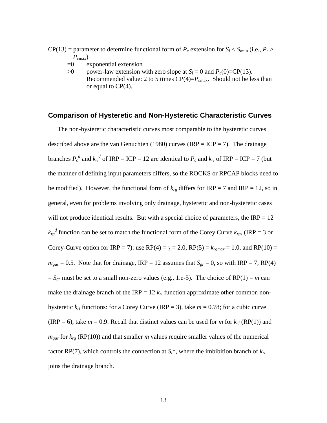$CP(13)$  = parameter to determine functional form of  $P_c$  extension for  $S_l < S_{lmin}$  (i.e.,  $P_c >$  $P_{\text{cmax}}$ )

- $=0$  exponential extension
- $>0$  power-law extension with zero slope at  $S_l = 0$  and  $P_c(0) = CP(13)$ . Recommended value: 2 to 5 times  $CP(4)=P_{cmax}$ . Should not be less than or equal to CP(4).

#### **Comparison of Hysteretic and Non-Hysteretic Characteristic Curves**

The non-hysteretic characteristic curves most comparable to the hysteretic curves described above are the van Genuchten (1980) curves (IRP = ICP = 7). The drainage branches  $P_c^d$  and  $k_{rl}^d$  of IRP = ICP = 12 are identical to  $P_c$  and  $k_{rl}$  of IRP = ICP = 7 (but the manner of defining input parameters differs, so the ROCKS or RPCAP blocks need to be modified). However, the functional form of  $k_{rg}$  differs for IRP = 7 and IRP = 12, so in general, even for problems involving only drainage, hysteretic and non-hysteretic cases will not produce identical results. But with a special choice of parameters, the  $IRP = 12$  $k_{rg}$ <sup>d</sup> function can be set to match the functional form of the Corey Curve  $k_{rg}$ , (IRP = 3 or Corey-Curve option for IRP = 7): use RP(4) =  $\gamma$  = 2.0, RP(5) =  $k_{rgmax}$  = 1.0, and RP(10) =  $m_{gas} = 0.5$ . Note that for drainage, IRP = 12 assumes that  $S_{gr} = 0$ , so with IRP = 7, RP(4)  $S_{gr}$  must be set to a small non-zero values (e.g., 1.e-5). The choice of RP(1) = *m* can make the drainage branch of the IRP =  $12 k_{rl}$  function approximate other common nonhysteretic  $k_{rl}$  functions: for a Corey Curve (IRP = 3), take  $m = 0.78$ ; for a cubic curve (IRP = 6), take  $m = 0.9$ . Recall that distinct values can be used for *m* for  $k_{rl}$  (RP(1)) and  $m_{gas}$  for  $k_{rg}$  (RP(10)) and that smaller *m* values require smaller values of the numerical factor RP(7), which controls the connection at  $S_l^*$ , where the imbibition branch of  $k_{rl}$ joins the drainage branch.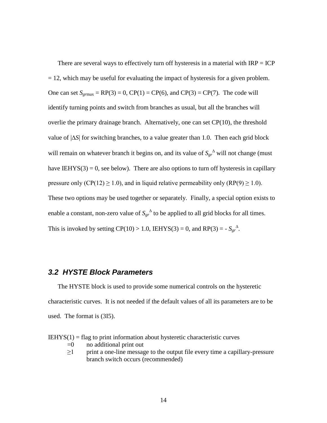There are several ways to effectively turn off hysteresis in a material with  $IRP = ICP$  $= 12$ , which may be useful for evaluating the impact of hysteresis for a given problem. One can set  $S_{\text{ermax}} = \text{RP}(3) = 0$ ,  $\text{CP}(1) = \text{CP}(6)$ , and  $\text{CP}(3) = \text{CP}(7)$ . The code will identify turning points and switch from branches as usual, but all the branches will overlie the primary drainage branch. Alternatively, one can set CP(10), the threshold value of  $|\Delta S|$  for switching branches, to a value greater than 1.0. Then each grid block will remain on whatever branch it begins on, and its value of  $S_{gr}^{\Delta}$  will not change (must have IEHYS(3) = 0, see below). There are also options to turn off hysteresis in capillary pressure only (CP(12)  $\geq$  1.0), and in liquid relative permeability only (RP(9)  $\geq$  1.0). These two options may be used together or separately. Finally, a special option exists to enable a constant, non-zero value of  $S_{gr}^{\ \Delta}$  to be applied to all grid blocks for all times. This is invoked by setting  $CP(10) > 1.0$ , IEHYS(3) = 0, and  $RP(3) = -S_{gr}^{\Delta}$ .

#### *3.2 HYSTE Block Parameters*

The HYSTE block is used to provide some numerical controls on the hysteretic characteristic curves. It is not needed if the default values of all its parameters are to be used. The format is (3I5).

 $IEHYS(1) = flag to print information about hysteretic characteristic curves$ 

- $=0$  no additional print out
- $\geq$ 1 print a one-line message to the output file every time a capillary-pressure branch switch occurs (recommended)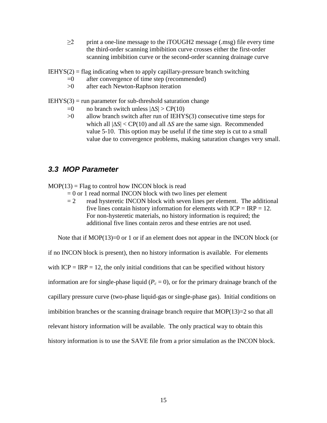$\geq$  print a one-line message to the iTOUGH2 message (.msg) file every time the third-order scanning imbibition curve crosses either the first-order scanning imbibition curve or the second-order scanning drainage curve

 $I E HYS(2) =$  flag indicating when to apply capillary-pressure branch switching

- $=0$  after convergence of time step (recommended)
- >0 after each Newton-Raphson iteration

 $IEHYS(3) = run parameter for sub-threshold saturation change$ 

- $=0$  no branch switch unless  $|\Delta S|$  > CP(10)
- $>0$  allow branch switch after run of IEHYS(3) consecutive time steps for which all  $|\Delta S|$  < CP(10) and all  $\Delta S$  are the same sign. Recommended value 5-10. This option may be useful if the time step is cut to a small value due to convergence problems, making saturation changes very small.

## *3.3 MOP Parameter*

 $MOP(13) = Flag$  to control how INCON block is read

- $= 0$  or 1 read normal INCON block with two lines per element
- $= 2$  read hysteretic INCON block with seven lines per element. The additional five lines contain history information for elements with  $ICP = IRP = 12$ . For non-hysteretic materials, no history information is required; the additional five lines contain zeros and these entries are not used.

Note that if MOP(13)=0 or 1 or if an element does not appear in the INCON block (or

if no INCON block is present), then no history information is available. For elements with  $ICP = IRP = 12$ , the only initial conditions that can be specified without history information are for single-phase liquid ( $P_c = 0$ ), or for the primary drainage branch of the capillary pressure curve (two-phase liquid-gas or single-phase gas). Initial conditions on imbibition branches or the scanning drainage branch require that  $MOP(13)=2$  so that all relevant history information will be available. The only practical way to obtain this history information is to use the SAVE file from a prior simulation as the INCON block.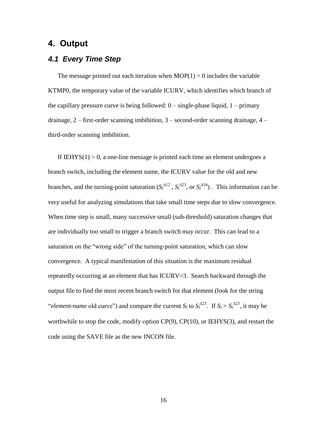## **4. Output**

#### *4.1 Every Time Step*

The message printed out each iteration when  $MOP(1) > 0$  includes the variable KTMP0, the temporary value of the variable ICURV, which identifies which branch of the capillary pressure curve is being followed:  $0 - \text{single-phase liquid}, 1 - \text{primary}$ drainage, 2 – first-order scanning imbibition, 3 – second-order scanning drainage, 4 – third-order scanning imbibition.

If  $I E H Y S(1) > 0$ , a one-line message is printed each time an element undergoes a branch switch, including the element name, the ICURV value for the old and new branches, and the turning-point saturation  $(S_l^{\Delta 12}, S_l^{\Delta 23}, \text{ or } S_l^{\Delta 34})$ . This information can be very useful for analyzing simulations that take small time steps due to slow convergence. When time step is small, many successive small (sub-threshold) saturation changes that are individually too small to trigger a branch switch may occur. This can lead to a saturation on the "wrong side" of the turning-point saturation, which can slow convergence. A typical manifestation of this situation is the maximum residual repeatedly occurring at an element that has ICURV=3. Search backward through the output file to find the most recent branch switch for that element (look for the string "*element-name* old curve") and compare the current *S*<sup>*l*</sup> to *S*<sup>*l*</sup><sup>223</sup>. If *S*<sup>*l*</sup> > *S*<sup>*l*23</sup>, it may be worthwhile to stop the code, modify option  $CP(9)$ ,  $CP(10)$ , or IEHYS(3), and restart the code using the SAVE file as the new INCON file.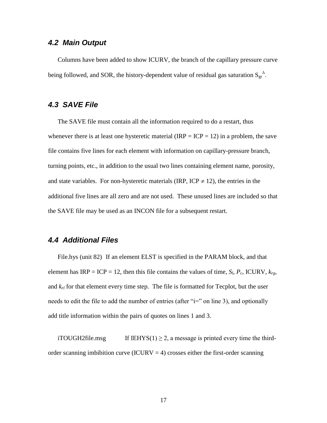### *4.2 Main Output*

Columns have been added to show ICURV, the branch of the capillary pressure curve being followed, and SOR, the history-dependent value of residual gas saturation  $S_{gr}^{\ \Delta}$ .

### *4.3 SAVE File*

The SAVE file must contain all the information required to do a restart, thus whenever there is at least one hysteretic material (IRP = ICP = 12) in a problem, the save file contains five lines for each element with information on capillary-pressure branch, turning points, etc., in addition to the usual two lines containing element name, porosity, and state variables. For non-hysteretic materials (IRP, ICP  $\neq$  12), the entries in the additional five lines are all zero and are not used. These unused lines are included so that the SAVE file may be used as an INCON file for a subsequent restart.

## *4.4 Additional Files*

File.hys (unit 82) If an element ELST is specified in the PARAM block, and that element has  $IRP = ICP = 12$ , then this file contains the values of time,  $S_l$ ,  $P_c$ , ICURV,  $k_{rg}$ , and  $k_{rl}$  for that element every time step. The file is formatted for Tecplot, but the user needs to edit the file to add the number of entries (after "i=" on line 3), and optionally add title information within the pairs of quotes on lines 1 and 3.

iTOUGH2file.msg If IEHYS(1) > 2, a message is printed every time the thirdorder scanning imbibition curve (ICURV  $=$  4) crosses either the first-order scanning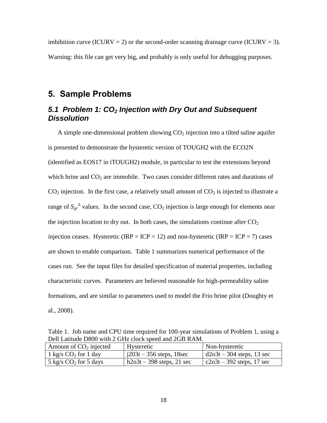imbibition curve (ICURV = 2) or the second-order scanning drainage curve (ICURV = 3). Warning: this file can get very big, and probably is only useful for debugging purposes.

## **5. Sample Problems**

## *5.1 Problem 1: CO<sup>2</sup> Injection with Dry Out and Subsequent Dissolution*

A simple one-dimensional problem showing  $CO<sub>2</sub>$  injection into a tilted saline aquifer is presented to demonstrate the hysteretic version of TOUGH2 with the ECO2N (identified as EOS17 in iTOUGH2) module, in particular to test the extensions beyond which brine and  $CO<sub>2</sub>$  are immobile. Two cases consider different rates and durations of  $CO<sub>2</sub>$  injection. In the first case, a relatively small amount of  $CO<sub>2</sub>$  is injected to illustrate a range of  $S_{gr}^{\ \Delta}$  values. In the second case,  $CO_2$  injection is large enough for elements near the injection location to dry out. In both cases, the simulations continue after  $CO<sub>2</sub>$ injection ceases. Hysteretic (IRP = ICP = 12) and non-hysteretic (IRP = ICP = 7) cases are shown to enable comparison. Table 1 summarizes numerical performance of the cases run. See the input files for detailed specification of material properties, including characteristic curves. Parameters are believed reasonable for high-permeability saline formations, and are similar to parameters used to model the Frio brine pilot (Doughty et al., 2008).

Table 1. Job name and CPU time required for 100-year simulations of Problem 1, using a Dell Latitude D800 with 2 GHz clock speed and 2GB RAM.

| Amount of $CO2$ injected | Hysteretic                               | Non-hysteretic              |
|--------------------------|------------------------------------------|-----------------------------|
| 1 kg/s $CO2$ for 1 day   | $\frac{1203t - 356 \text{ steps}}{188c}$ | $d2o3t - 304$ steps, 13 sec |
| 5 kg/s $CO2$ for 5 days  | $h2o3t - 398$ steps, 21 sec              | $c2o3t - 392$ steps, 17 sec |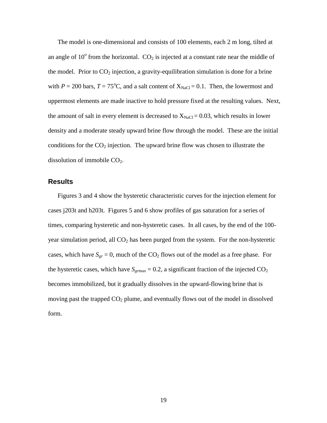The model is one-dimensional and consists of 100 elements, each 2 m long, tilted at an angle of  $10^{\circ}$  from the horizontal.  $CO_2$  is injected at a constant rate near the middle of the model. Prior to  $CO<sub>2</sub>$  injection, a gravity-equilibration simulation is done for a brine with  $P = 200$  bars,  $T = 75^{\circ}\text{C}$ , and a salt content of  $X_{\text{NaCl}} = 0.1$ . Then, the lowermost and uppermost elements are made inactive to hold pressure fixed at the resulting values. Next, the amount of salt in every element is decreased to  $X_{NaCl} = 0.03$ , which results in lower density and a moderate steady upward brine flow through the model. These are the initial conditions for the  $CO<sub>2</sub>$  injection. The upward brine flow was chosen to illustrate the dissolution of immobile  $CO<sub>2</sub>$ .

#### **Results**

Figures 3 and 4 show the hysteretic characteristic curves for the injection element for cases j203t and h203t. Figures 5 and 6 show profiles of gas saturation for a series of times, comparing hysteretic and non-hysteretic cases. In all cases, by the end of the 100 year simulation period, all  $CO<sub>2</sub>$  has been purged from the system. For the non-hysteretic cases, which have  $S_{gr} = 0$ , much of the CO<sub>2</sub> flows out of the model as a free phase. For the hysteretic cases, which have  $S_{\text{grmax}} = 0.2$ , a significant fraction of the injected  $CO_2$ becomes immobilized, but it gradually dissolves in the upward-flowing brine that is moving past the trapped  $CO<sub>2</sub>$  plume, and eventually flows out of the model in dissolved form.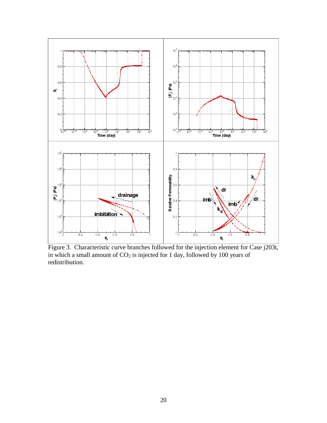

Figure 3. Characteristic curve branches followed for the injection element for Case j203t, in which a small amount of  $CO<sub>2</sub>$  is injected for 1 day, followed by 100 years of redistribution.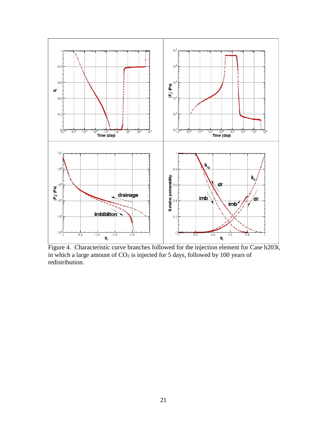

Figure 4. Characteristic curve branches followed for the injection element for Case h203t, in which a large amount of  $CO<sub>2</sub>$  is injected for 5 days, followed by 100 years of redistribution.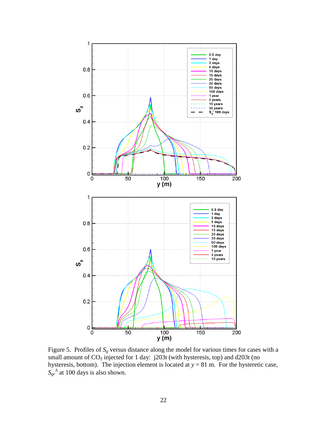

Figure 5. Profiles of *S<sup>g</sup>* versus distance along the model for various times for cases with a small amount of  $CO_2$  injected for 1 day: j203t (with hysteresis, top) and d203t (no hysteresis, bottom). The injection element is located at *y* = 81 m. For the hysteretic case,  $S_{gr}^{\Delta}$  at 100 days is also shown.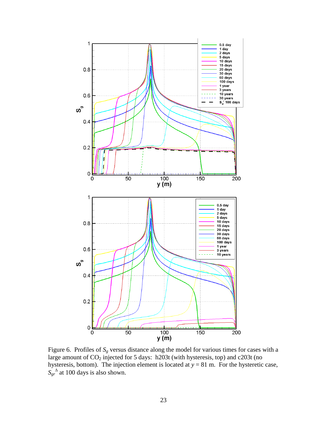

Figure 6. Profiles of *S<sup>g</sup>* versus distance along the model for various times for cases with a large amount of  $CO<sub>2</sub>$  injected for 5 days: h203t (with hysteresis, top) and c203t (no hysteresis, bottom). The injection element is located at  $y = 81$  m. For the hysteretic case,  $S_{gr}^{\Delta}$  at 100 days is also shown.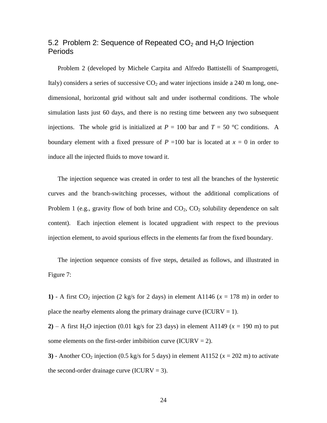## 5.2 Problem 2: Sequence of Repeated  $CO<sub>2</sub>$  and H<sub>2</sub>O Injection Periods

Problem 2 (developed by Michele Carpita and Alfredo Battistelli of Snamprogetti, Italy) considers a series of successive  $CO<sub>2</sub>$  and water injections inside a 240 m long, onedimensional, horizontal grid without salt and under isothermal conditions. The whole simulation lasts just 60 days, and there is no resting time between any two subsequent injections. The whole grid is initialized at  $P = 100$  bar and  $T = 50$  °C conditions. A boundary element with a fixed pressure of  $P = 100$  bar is located at  $x = 0$  in order to induce all the injected fluids to move toward it.

The injection sequence was created in order to test all the branches of the hysteretic curves and the branch-switching processes, without the additional complications of Problem 1 (e.g., gravity flow of both brine and  $CO<sub>2</sub>$ ,  $CO<sub>2</sub>$  solubility dependence on salt content). Each injection element is located upgradient with respect to the previous injection element, to avoid spurious effects in the elements far from the fixed boundary.

The injection sequence consists of five steps, detailed as follows, and illustrated in Figure 7:

**1)** - A first CO<sub>2</sub> injection (2 kg/s for 2 days) in element A1146 ( $x = 178$  m) in order to place the nearby elements along the primary drainage curve (ICURV = 1).

**2**) – A first H<sub>2</sub>O injection (0.01 kg/s for 23 days) in element A1149 ( $x = 190$  m) to put some elements on the first-order imbibition curve (ICURV = 2).

**3**) - Another CO<sub>2</sub> injection (0.5 kg/s for 5 days) in element A1152 ( $x = 202$  m) to activate the second-order drainage curve (ICURV  $=$  3).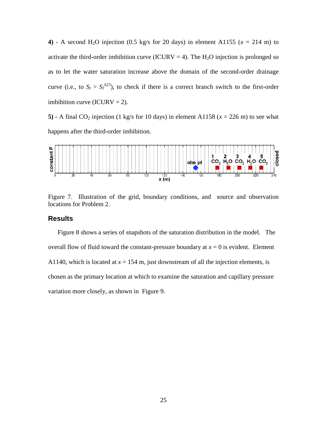**4)** - A second H<sub>2</sub>O injection (0.5 kg/s for 20 days) in element A1155 ( $x = 214$  m) to activate the third-order imbibition curve (ICURV = 4). The  $H_2O$  injection is prolonged so as to let the water saturation increase above the domain of the second-order drainage curve (i.e., to  $S_l > S_l^{\Delta 23}$ ), to check if there is a correct branch switch to the first-order imbibition curve (ICURV = 2).

**5**) - A final CO<sub>2</sub> injection (1 kg/s for 10 days) in element A1158 ( $x = 226$  m) to see what happens after the third-order imbibition.



Figure 7. Illustration of the grid, boundary conditions, and source and observation locations for Problem 2.

#### **Results**

Figure 8 shows a series of snapshots of the saturation distribution in the model. The overall flow of fluid toward the constant-pressure boundary at  $x = 0$  is evident. Element A1140, which is located at  $x = 154$  m, just downstream of all the injection elements, is chosen as the primary location at which to examine the saturation and capillary pressure variation more closely, as shown in Figure 9.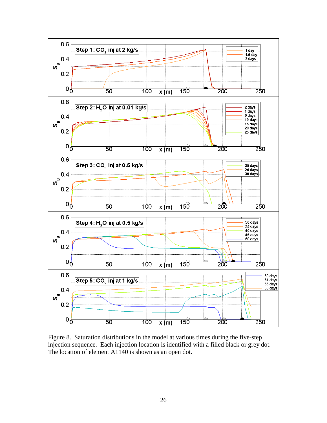

Figure 8. Saturation distributions in the model at various times during the five-step injection sequence. Each injection location is identified with a filled black or grey dot. The location of element A1140 is shown as an open dot.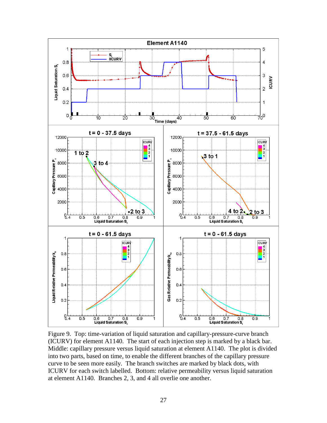

Figure 9. Top: time-variation of liquid saturation and capillary-pressure-curve branch (ICURV) for element A1140. The start of each injection step is marked by a black bar. Middle: capillary pressure versus liquid saturation at element A1140. The plot is divided into two parts, based on time, to enable the different branches of the capillary pressure curve to be seen more easily. The branch switches are marked by black dots, with ICURV for each switch labelled. Bottom: relative permeability versus liquid saturation at element A1140. Branches 2, 3, and 4 all overlie one another.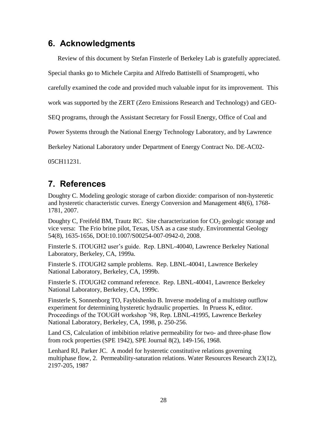# **6. Acknowledgments**

Review of this document by Stefan Finsterle of Berkeley Lab is gratefully appreciated.

Special thanks go to Michele Carpita and Alfredo Battistelli of Snamprogetti, who

carefully examined the code and provided much valuable input for its improvement. This

work was supported by the ZERT (Zero Emissions Research and Technology) and GEO-

SEQ programs, through the Assistant Secretary for Fossil Energy, Office of Coal and

Power Systems through the National Energy Technology Laboratory, and by Lawrence

Berkeley National Laboratory under Department of Energy Contract No. DE-AC02-

05CH11231.

# **7. References**

Doughty C. Modeling geologic storage of carbon dioxide: comparison of non-hysteretic and hysteretic characteristic curves. Energy Conversion and Management 48(6), 1768- 1781, 2007.

Doughty C, Freifeld BM, Trautz RC. Site characterization for  $CO<sub>2</sub>$  geologic storage and vice versa: The Frio brine pilot, Texas, USA as a case study. Environmental Geology 54(8), 1635-1656, DOI:10.1007/S00254-007-0942-0, 2008.

Finsterle S. iTOUGH2 user's guide. Rep. LBNL-40040, Lawrence Berkeley National Laboratory, Berkeley, CA, 1999a.

Finsterle S. iTOUGH2 sample problems. Rep. LBNL-40041, Lawrence Berkeley National Laboratory, Berkeley, CA, 1999b.

Finsterle S. iTOUGH2 command reference. Rep. LBNL-40041, Lawrence Berkeley National Laboratory, Berkeley, CA, 1999c.

Finsterle S, Sonnenborg TO, Faybishenko B. Inverse modeling of a multistep outflow experiment for determining hysteretic hydraulic properties. In Pruess K, editor. Proceedings of the TOUGH workshop '98, Rep. LBNL-41995, Lawrence Berkeley National Laboratory, Berkeley, CA, 1998, p. 250-256.

Land CS, Calculation of imbibition relative permeability for two- and three-phase flow from rock properties (SPE 1942), SPE Journal 8(2), 149-156, 1968.

Lenhard RJ, Parker JC. A model for hysteretic constitutive relations governing multiphase flow, 2. Permeability-saturation relations. Water Resources Research 23(12), 2197-205, 1987